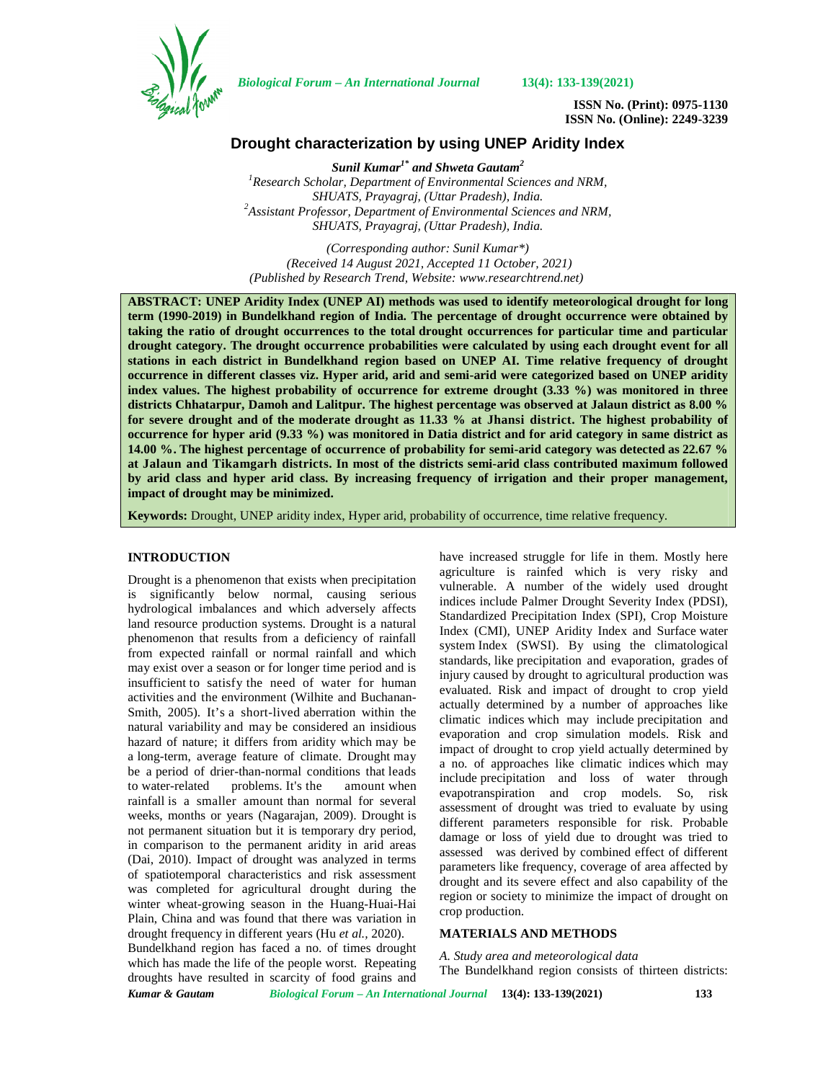

*Biological Forum – An International Journal* **13(4): 133-139(2021)**

**ISSN No. (Print): 0975-1130 ISSN No. (Online): 2249-3239**

# **Drought characterization by using UNEP Aridity Index**

*Sunil Kumar1\* and Shweta Gautam<sup>2</sup> <sup>1</sup>Research Scholar, Department of Environmental Sciences and NRM, SHUATS, Prayagraj, (Uttar Pradesh), India. <sup>2</sup>Assistant Professor, Department of Environmental Sciences and NRM, SHUATS, Prayagraj, (Uttar Pradesh), India.*

*(Corresponding author: Sunil Kumar\*) (Received 14 August 2021, Accepted 11 October, 2021) (Published by Research Trend, Website: <www.researchtrend.net>)*

**ABSTRACT: UNEP Aridity Index (UNEP AI) methods was used to identify meteorological drought for long term (1990-2019) in Bundelkhand region of India. The percentage of drought occurrence were obtained by taking the ratio of drought occurrences to the total drought occurrences for particular time and particular drought category. The drought occurrence probabilities were calculated by using each drought event for all stations in each district in Bundelkhand region based on UNEP AI. Time relative frequency of drought occurrence in different classes viz. Hyper arid, arid and semi-arid were categorized based on UNEP aridity index values. The highest probability of occurrence for extreme drought**  $(3.33 \%)$  **was monitored in three districts Chhatarpur, Damoh and Lalitpur. The highest percentage was observed at Jalaun district as 8.00 % for severe drought and of the moderate drought as 11.33 % at Jhansi district. The highest probability of occurrence for hyper arid (9.33 %) was monitored in Datia district and for arid category in same district as 14.00 %. The highest percentage of occurrence of probability for semi-arid category was detected as 22.67 % at Jalaun and Tikamgarh districts. In most of the districts semi-arid class contributed maximum followed by arid class and hyper arid class. By increasing frequency of irrigation and their proper management, impact of drought may be minimized.**

**Keywords:** Drought, UNEP aridity index, Hyper arid, probability of occurrence, time relative frequency.

#### **INTRODUCTION**

Drought is a phenomenon that exists when precipitation is significantly below normal, causing serious hydrological imbalances and which adversely affects land resource production systems. Drought is a natural phenomenon that results from a deficiency of rainfall from expected rainfall or normal rainfall and which may exist over a season or for longer time period and is insufficient to satisfy the need of water for human activities and the environment (Wilhite and Buchanan- Smith, 2005). It's a short-lived aberration within the natural variability and may be considered an insidious hazard of nature; it differs from aridity which may be a long-term, average feature of climate. Drought may be a period of drier-than-normal conditions that leads to water-related problems. It's the amount when rainfall is a smaller amount than normal for several weeks, months or years (Nagarajan, 2009). Drought is not permanent situation but it is temporary dry period, in comparison to the permanent aridity in arid areas (Dai, 2010). Impact of drought was analyzed in terms of spatiotemporal characteristics and risk assessment was completed for agricultural drought during the winter wheat-growing season in the Huang-Huai-Hai Plain, China and was found that there was variation in drought frequency in different years (Hu *et al.,* 2020).

Bundelkhand region has faced a no. of times drought which has made the life of the people worst. Repeating droughts have resulted in scarcity of food grains and have increased struggle for life in them. Mostly here agriculture is rainfed which is very risky and vulnerable. A number of the widely used drought indices include Palmer Drought Severity Index (PDSI), Standardized Precipitation Index (SPI), Crop Moisture Index (CMI), UNEP Aridity Index and Surface water system Index (SWSI). By using the climatological standards, like precipitation and evaporation, grades of injury caused by drought to agricultural production was evaluated. Risk and impact of drought to crop yield actually determined by a number of approaches like climatic indices which may include precipitation and evaporation and crop simulation models. Risk and impact of drought to crop yield actually determined by a no. of approaches like climatic indices which may include precipitation and loss of water through evapotranspiration and crop models. So, risk assessment of drought was tried to evaluate by using different parameters responsible for risk. Probable damage or loss of yield due to drought was tried to assessed was derived by combined effect of different parameters like frequency, coverage of area affected by drought and its severe effect and also capability of the region or society to minimize the impact of drought on crop production.

## **MATERIALS AND METHODS**

*A. Study area and meteorological data* The Bundelkhand region consists of thirteen districts:

*Kumar & Gautam Biological Forum – An International Journal* **13(4): 133-139(2021) 133**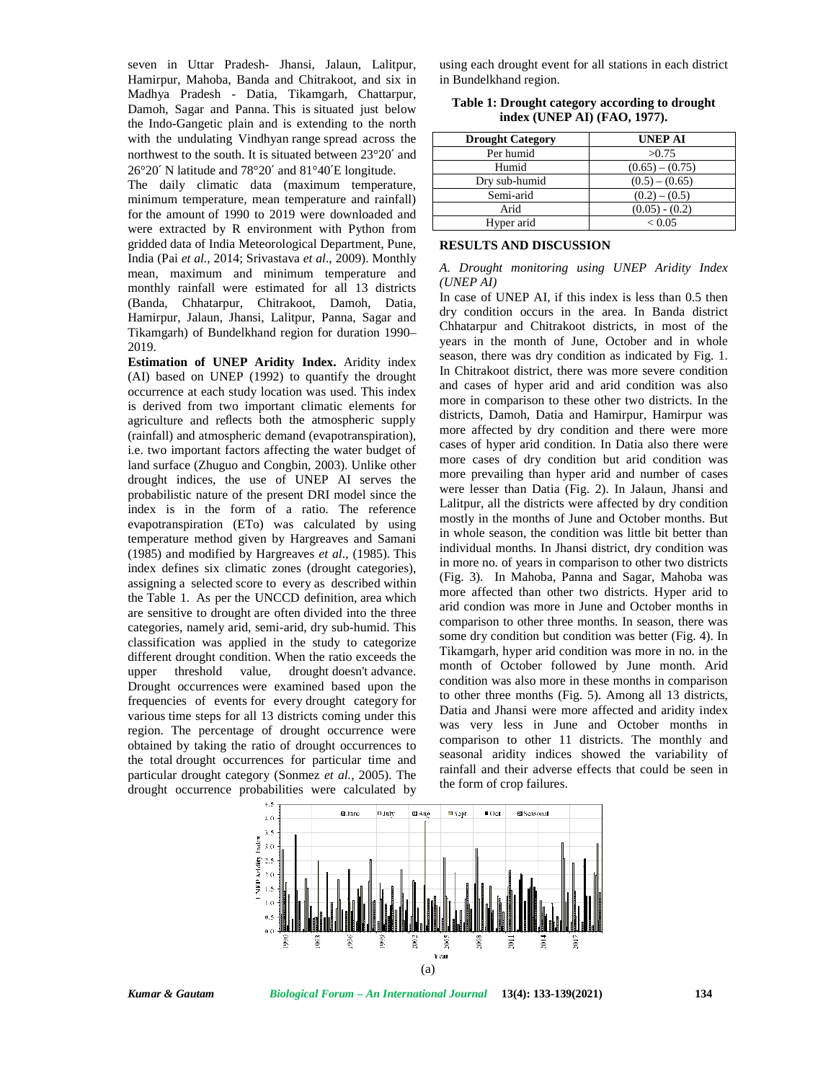seven in Uttar Pradesh- Jhansi, Jalaun, Lalitpur, Hamirpur, Mahoba, Banda and Chitrakoot, and six in Madhya Pradesh - Datia, Tikamgarh, Chattarpur, Damoh, Sagar and Panna. This is situated just below the Indo-Gangetic plain and is extending to the north with the undulating Vindhyan range spread across the northwest to the south. It is situated between 23°20′ and 26°20′ N latitude and 78°20′ and 81°40′E longitude.

The daily climatic data (maximum temperature, minimum temperature, mean temperature and rainfall) for the amount of 1990 to 2019 were downloaded and were extracted by R environment with Python from gridded data of India Meteorological Department, Pune, India (Pai *et al.,* 2014; Srivastava *et al*., 2009). Monthly mean, maximum and minimum temperature and monthly rainfall were estimated for all 13 districts (Banda, Chhatarpur, Chitrakoot, Damoh, Datia, Hamirpur, Jalaun, Jhansi, Lalitpur, Panna, Sagar and Tikamgarh) of Bundelkhand region for duration 1990– 2019.

**Estimation of UNEP Aridity Index.** Aridity index (AI) based on UNEP (1992) to quantify the drought occurrence at each study location was used. This index is derived from two important climatic elements for agriculture and reflects both the atmospheric supply (rainfall) and atmospheric demand (evapotranspiration), i.e. two important factors affecting the water budget of land surface (Zhuguo and Congbin, 2003). Unlike other drought indices, the use of UNEP AI serves the probabilistic nature of the present DRI model since the index is in the form of a ratio. The reference evapotranspiration (ETo) was calculated by using temperature method given by Hargreaves and Samani (1985) and modified by Hargreaves *et al*., (1985). This index defines six climatic zones (drought categories), assigning a selected score to every as described within the Table 1. As per the UNCCD definition, area which are sensitive to drought are often divided into the three categories, namely arid, semi-arid, dry sub-humid. This classification was applied in the study to categorize different drought condition. When the ratio exceeds the upper threshold value, drought doesn't advance. Drought occurrences were examined based upon the frequencies of events for every drought category for various time steps for all 13 districts coming under this region. The percentage of drought occurrence were obtained by taking the ratio of drought occurrences to the total drought occurrences for particular time and particular drought category (Sonmez *et al.,* 2005). The drought occurrence probabilities were calculated by using each drought event for all stations in each district in Bundelkhand region.

| <b>Drought Category</b> | <b>UNEP AI</b>    |
|-------------------------|-------------------|
| Per humid               | >0.75             |
| Humid                   | $(0.65) - (0.75)$ |
| Dry sub-humid           | $(0.5) - (0.65)$  |
| Semi-arid               | $(0.2) - (0.5)$   |
| Arid                    | $(0.05) - (0.2)$  |
| Hyper arid              | ${}_{< 0.05}$     |

**Table 1: Drought category according to drought index (UNEP AI) (FAO, 1977).**

### **RESULTS AND DISCUSSION**

*A. Drought monitoring using UNEP Aridity Index (UNEP AI)*

In case of UNEP AI, if this index is less than 0.5 then dry condition occurs in the area. In Banda district Chhatarpur and Chitrakoot districts, in most of the years in the month of June, October and in whole season, there was dry condition as indicated by Fig. 1. In Chitrakoot district, there was more severe condition and cases of hyper arid and arid condition was also more in comparison to these other two districts. In the districts, Damoh, Datia and Hamirpur, Hamirpur was more affected by dry condition and there were more cases of hyper arid condition. In Datia also there were more cases of dry condition but arid condition was more prevailing than hyper arid and number of cases were lesser than Datia (Fig. 2). In Jalaun, Jhansi and Lalitpur, all the districts were affected by dry condition mostly in the months of June and October months. But in whole season, the condition was little bit better than individual months. In Jhansi district, dry condition was in more no. of years in comparison to other two districts (Fig. 3). In Mahoba, Panna and Sagar, Mahoba was more affected than other two districts. Hyper arid to arid condion was more in June and October months in comparison to other three months. In season, there was some dry condition but condition was better (Fig. 4). In Tikamgarh, hyper arid condition was more in no. in the month of October followed by June month. Arid condition was also more in these months in comparison to other three months (Fig. 5). Among all 13 districts, Datia and Jhansi were more affected and aridity index was very less in June and October months in comparison to other 11 districts. The monthly and seasonal aridity indices showed the variability of rainfall and their adverse effects that could be seen in the form of crop failures.



*Kumar & Gautam Biological Forum – An International Journal* **13(4): 133-139(2021) 134**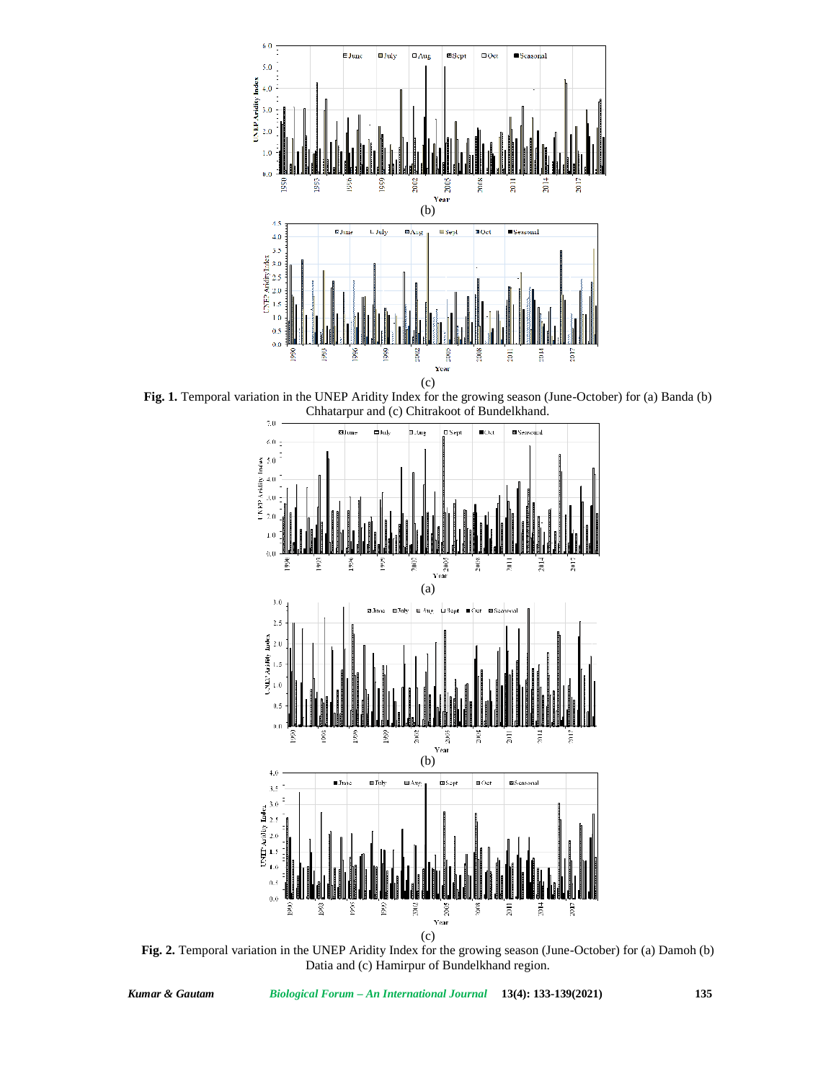

**Fig. 1.** Temporal variation in the UNEP Aridity Index for the growing season (June-October) for (a) Banda (b) Chhatarpur and (c) Chitrakoot of Bundelkhand.



**Fig. 2.** Temporal variation in the UNEP Aridity Index for the growing season (June-October) for (a) Damoh (b) Datia and (c) Hamirpur of Bundelkhand region.

*Kumar & Gautam Biological Forum – An International Journal* **13(4): 133-139(2021) 135**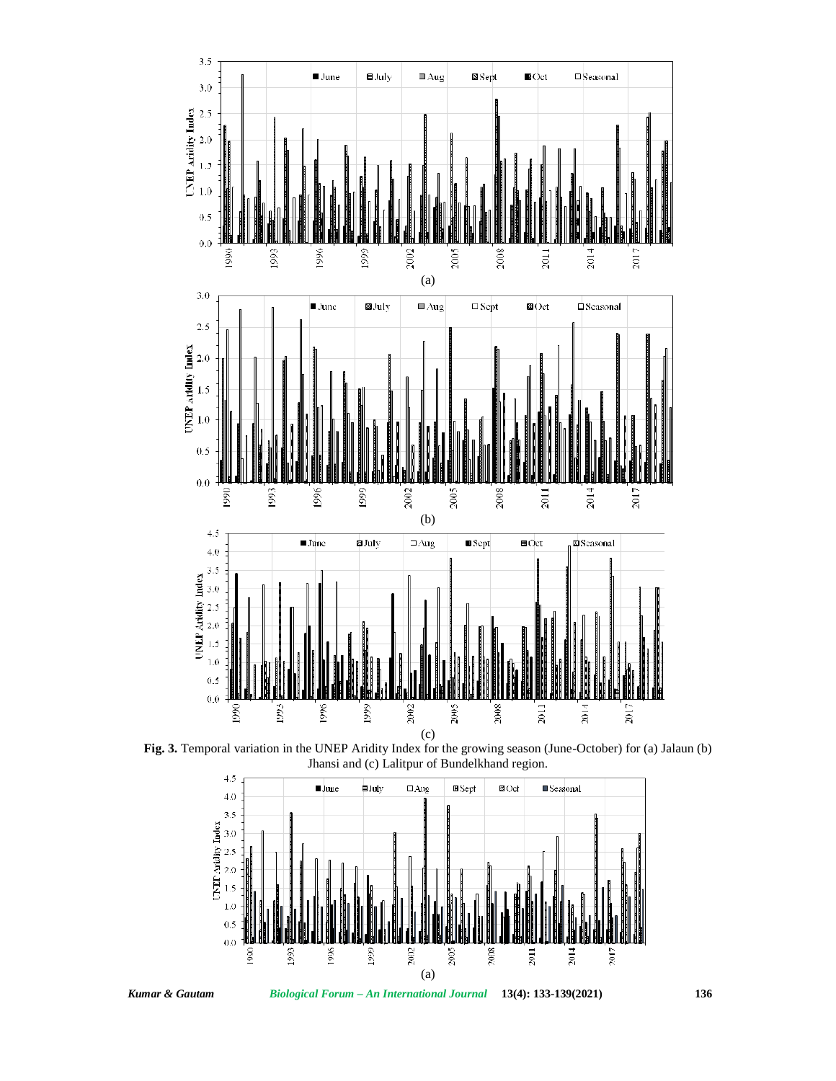





*Kumar & Gautam Biological Forum – An International Journal* **13(4): 133-139(2021) 136**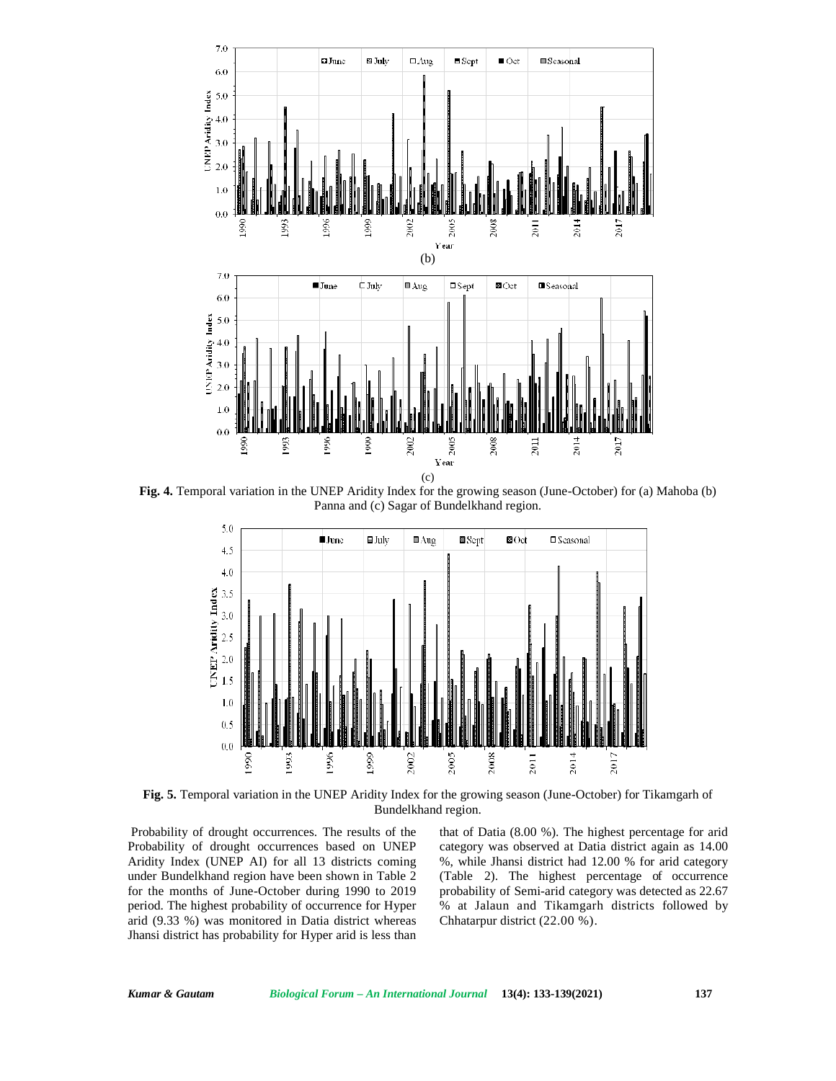

**Fig. 4.** Temporal variation in the UNEP Aridity Index for the growing season (June-October) for (a) Mahoba (b) Panna and (c) Sagar of Bundelkhand region.



**Fig. 5.** Temporal variation in the UNEP Aridity Index for the growing season (June-October) for Tikamgarh of Bundelkhand region.

Probability of drought occurrences. The results of the Probability of drought occurrences based on UNEP Aridity Index (UNEP AI) for all 13 districts coming under Bundelkhand region have been shown in Table 2 for the months of June-October during 1990 to 2019 period. The highest probability of occurrence for Hyper arid (9.33 %) was monitored in Datia district whereas Jhansi district has probability for Hyper arid is less than that of Datia (8.00 %). The highest percentage for arid category was observed at Datia district again as 14.00 %, while Jhansi district had 12.00 % for arid category (Table 2). The highest percentage of occurrence probability of Semi-arid category was detected as 22.67 % at Jalaun and Tikamgarh districts followed by Chhatarpur district (22.00 %).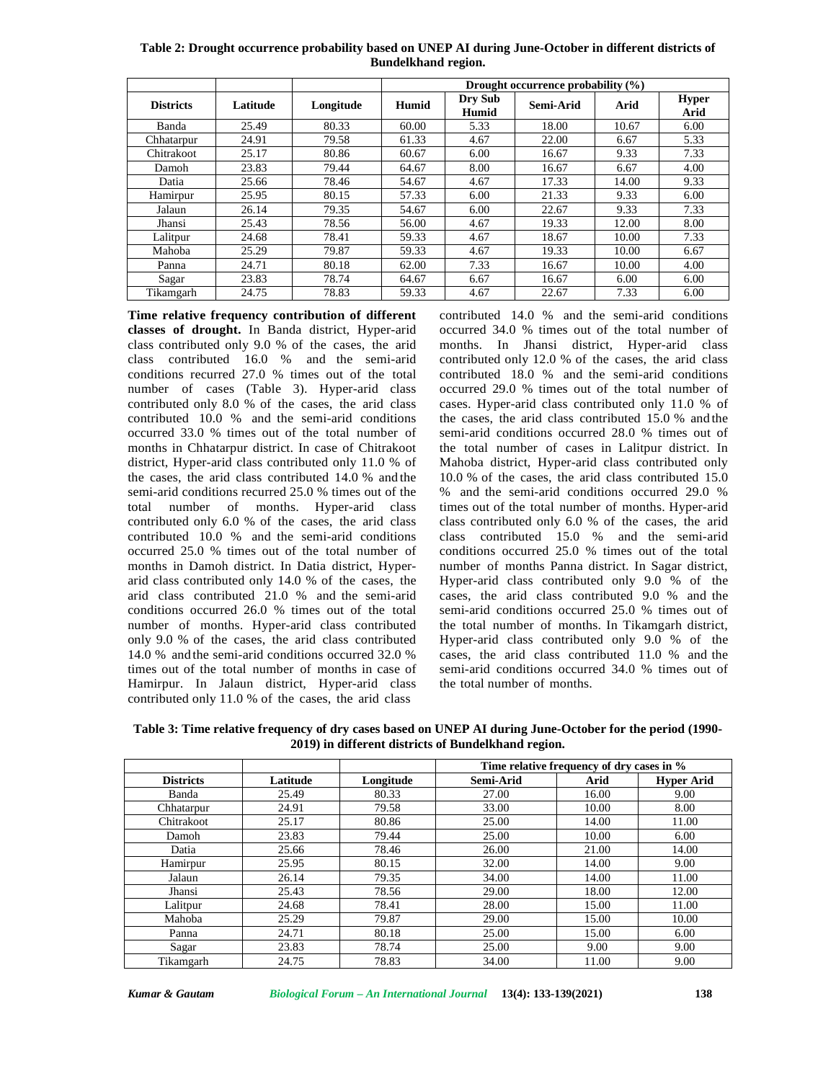**Table 2: Drought occurrence probability based on UNEP AI during June-October in different districts of Bundelkhand region.**

|                  |          |           | Drought occurrence probability $(\% )$ |                  |           |       |                      |  |
|------------------|----------|-----------|----------------------------------------|------------------|-----------|-------|----------------------|--|
| <b>Districts</b> | Latitude | Longitude | Humid                                  | Dry Sub<br>Humid | Semi-Arid | Arid  | <b>Hyper</b><br>Arid |  |
| Banda            | 25.49    | 80.33     | 60.00                                  | 5.33             | 18.00     | 10.67 | 6.00                 |  |
| Chhatarpur       | 24.91    | 79.58     | 61.33                                  | 4.67             | 22.00     | 6.67  | 5.33                 |  |
| Chitrakoot       | 25.17    | 80.86     | 60.67                                  | 6.00             | 16.67     | 9.33  | 7.33                 |  |
| Damoh            | 23.83    | 79.44     | 64.67                                  | 8.00             | 16.67     | 6.67  | 4.00                 |  |
| Datia            | 25.66    | 78.46     | 54.67                                  | 4.67             | 17.33     | 14.00 | 9.33                 |  |
| Hamirpur         | 25.95    | 80.15     | 57.33                                  | 6.00             | 21.33     | 9.33  | 6.00                 |  |
| Jalaun           | 26.14    | 79.35     | 54.67                                  | 6.00             | 22.67     | 9.33  | 7.33                 |  |
| Jhansi           | 25.43    | 78.56     | 56.00                                  | 4.67             | 19.33     | 12.00 | 8.00                 |  |
| Lalitpur         | 24.68    | 78.41     | 59.33                                  | 4.67             | 18.67     | 10.00 | 7.33                 |  |
| Mahoba           | 25.29    | 79.87     | 59.33                                  | 4.67             | 19.33     | 10.00 | 6.67                 |  |
| Panna            | 24.71    | 80.18     | 62.00                                  | 7.33             | 16.67     | 10.00 | 4.00                 |  |
| Sagar            | 23.83    | 78.74     | 64.67                                  | 6.67             | 16.67     | 6.00  | 6.00                 |  |
| Tikamgarh        | 24.75    | 78.83     | 59.33                                  | 4.67             | 22.67     | 7.33  | 6.00                 |  |

**Time relative frequency contribution of different classes of drought.** In Banda district, Hyper-arid class contributed only 9.0 % of the cases, the arid class contributed 16.0 % and the semi-arid conditions recurred 27.0 % times out of the total number of cases (Table 3). Hyper-arid class contributed only 8.0 % of the cases, the arid class contributed 10.0 % and the semi-arid conditions occurred 33.0 % times out of the total number of months in Chhatarpur district. In case of Chitrakoot district, Hyper-arid class contributed only 11.0 % of the cases, the arid class contributed 14.0 % and the semi-arid conditions recurred 25.0 % times out of the total number of months. Hyper-arid class contributed only  $6.0 %$  of the cases, the arid class contributed 10.0 % and the semi-arid conditions occurred 25.0 % times out of the total number of months in Damoh district. In Datia district, Hyper arid class contributed only  $14.0 %$  of the cases, the arid class contributed 21.0 % and the semi-arid conditions occurred 26.0 % times out of the total number of months. Hyper-arid class contributed only 9.0 % of thecases, the arid class contributed 14.0 % and the semi-arid conditions occurred 32.0 % times out of the total number of months in case of Hamirpur. In Jalaun district, Hyper-arid class contributed only 11.0 % of the cases, the arid class

contributed 14.0 % and the semi-arid conditions occurred 34.0 % times out of the total number of months. In Jhansi district, Hyper-arid class contributed only 12.0 % of the cases, the arid class contributed 18.0 % and the semi-arid conditions occurred 29.0 % times out of the total number of cases. Hyper-arid class contributed only 11.0 % of the cases, the arid class contributed 15.0 % and the semi-arid conditions occurred 28.0 % times out of the total number of cases in Lalitpur district. In Mahoba district, Hyper-arid class contributed only 10.0 % of the cases, the arid class contributed 15.0 % and the semi-arid conditions occurred 29.0 % times out of the total number of months. Hyper-arid class contributed only  $6.0 %$  of the cases, the arid class contributed 15.0 % and the semi-arid conditions occurred 25.0 % times out of the total number of months Panna district. In Sagar district, Hyper-arid class contributed only 9.0 % of the cases, the arid class contributed 9.0 % and the semi-arid conditions occurred 25.0 % times out of the total number of months. In Tikamgarh district, Hyper-arid class contributed only 9.0 % of the cases, the arid class contributed 11.0 % and the semi-arid conditions occurred 34.0 % times out of the total number of months.

**Table 3: Time relative frequency of dry cases based on UNEP AI during June-October for the period (1990- 2019) in different districts of Bundelkhand region.**

|                  |          |           | Time relative frequency of dry cases in % |       |                   |  |
|------------------|----------|-----------|-------------------------------------------|-------|-------------------|--|
| <b>Districts</b> | Latitude | Longitude | Semi-Arid                                 | Arid  | <b>Hyper Arid</b> |  |
| Banda            | 25.49    | 80.33     | 27.00                                     | 16.00 | 9.00              |  |
| Chhatarpur       | 24.91    | 79.58     | 33.00                                     | 10.00 | 8.00              |  |
| Chitrakoot       | 25.17    | 80.86     | 25.00                                     | 14.00 | 11.00             |  |
| Damoh            | 23.83    | 79.44     | 25.00                                     | 10.00 | 6.00              |  |
| Datia            | 25.66    | 78.46     | 26.00                                     | 21.00 | 14.00             |  |
| Hamirpur         | 25.95    | 80.15     | 32.00                                     | 14.00 | 9.00              |  |
| Jalaun           | 26.14    | 79.35     | 34.00                                     | 14.00 | 11.00             |  |
| Jhansi           | 25.43    | 78.56     | 29.00                                     | 18.00 | 12.00             |  |
| Lalitpur         | 24.68    | 78.41     | 28.00                                     | 15.00 | 11.00             |  |
| Mahoba           | 25.29    | 79.87     | 29.00                                     | 15.00 | 10.00             |  |
| Panna            | 24.71    | 80.18     | 25.00                                     | 15.00 | 6.00              |  |
| Sagar            | 23.83    | 78.74     | 25.00                                     | 9.00  | 9.00              |  |
| Tikamgarh        | 24.75    | 78.83     | 34.00                                     | 11.00 | 9.00              |  |